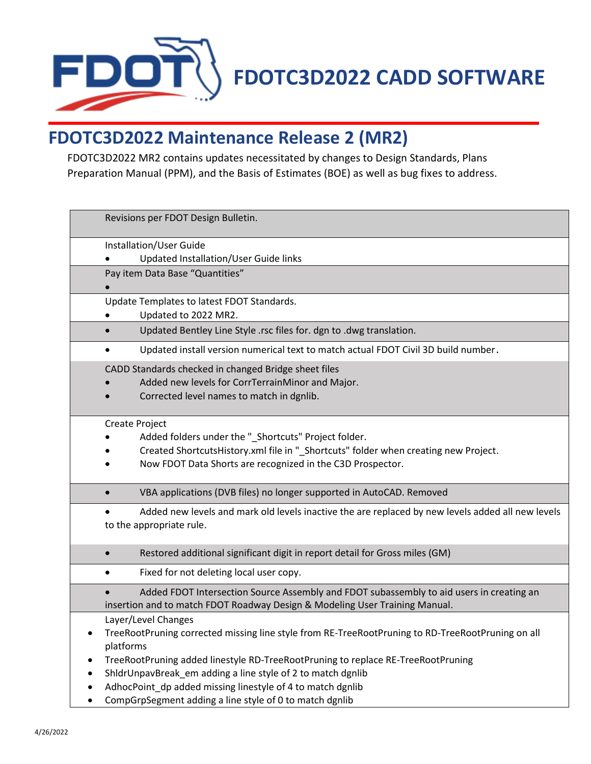

## **FDOTC3D2022 Maintenance Release 2 (MR2)**

FDOTC3D2022 MR2 contains updates necessitated by changes to Design Standards, Plans Preparation Manual (PPM), and the Basis of Estimates (BOE) as well as bug fixes to address.

| Revisions per FDOT Design Bulletin.                                                                                                                                                                                                                                                                                                                                                                               |
|-------------------------------------------------------------------------------------------------------------------------------------------------------------------------------------------------------------------------------------------------------------------------------------------------------------------------------------------------------------------------------------------------------------------|
| Installation/User Guide<br>Updated Installation/User Guide links                                                                                                                                                                                                                                                                                                                                                  |
| Pay item Data Base "Quantities"                                                                                                                                                                                                                                                                                                                                                                                   |
| Update Templates to latest FDOT Standards.<br>Updated to 2022 MR2.                                                                                                                                                                                                                                                                                                                                                |
| Updated Bentley Line Style .rsc files for. dgn to .dwg translation.                                                                                                                                                                                                                                                                                                                                               |
| Updated install version numerical text to match actual FDOT Civil 3D build number.<br>$\bullet$                                                                                                                                                                                                                                                                                                                   |
| CADD Standards checked in changed Bridge sheet files<br>Added new levels for CorrTerrainMinor and Major.<br>Corrected level names to match in dgnlib.                                                                                                                                                                                                                                                             |
| Create Project<br>Added folders under the "_Shortcuts" Project folder.<br>Created ShortcutsHistory.xml file in "_Shortcuts" folder when creating new Project.<br>Now FDOT Data Shorts are recognized in the C3D Prospector.                                                                                                                                                                                       |
| VBA applications (DVB files) no longer supported in AutoCAD. Removed<br>$\bullet$                                                                                                                                                                                                                                                                                                                                 |
| Added new levels and mark old levels inactive the are replaced by new levels added all new levels<br>to the appropriate rule.                                                                                                                                                                                                                                                                                     |
| Restored additional significant digit in report detail for Gross miles (GM)<br>$\bullet$                                                                                                                                                                                                                                                                                                                          |
| Fixed for not deleting local user copy.<br>$\bullet$                                                                                                                                                                                                                                                                                                                                                              |
| Added FDOT Intersection Source Assembly and FDOT subassembly to aid users in creating an<br>insertion and to match FDOT Roadway Design & Modeling User Training Manual.                                                                                                                                                                                                                                           |
| Layer/Level Changes<br>TreeRootPruning corrected missing line style from RE-TreeRootPruning to RD-TreeRootPruning on all<br>platforms<br>TreeRootPruning added linestyle RD-TreeRootPruning to replace RE-TreeRootPruning<br>ShldrUnpavBreak_em adding a line style of 2 to match dgnlib<br>AdhocPoint_dp added missing linestyle of 4 to match dgnlib<br>CompGrpSegment adding a line style of 0 to match dgnlib |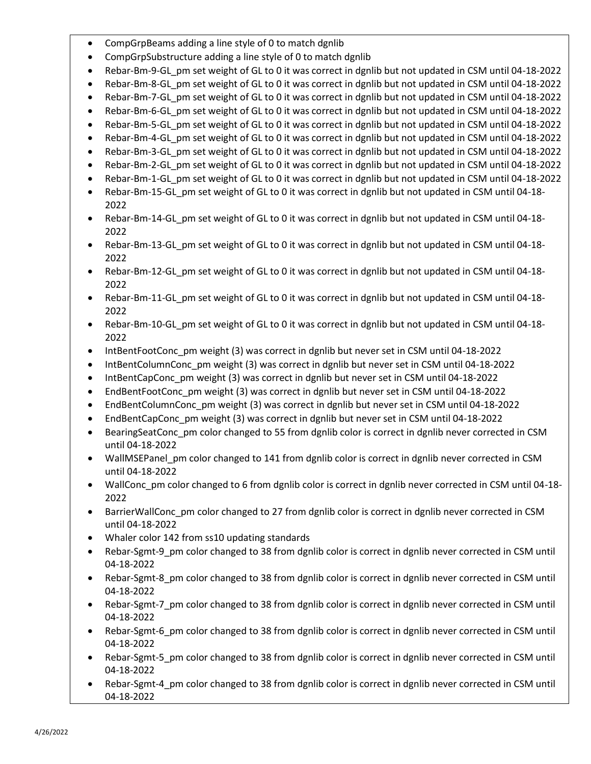- CompGrpBeams adding a line style of 0 to match dgnlib
- CompGrpSubstructure adding a line style of 0 to match dgnlib
- Rebar-Bm-9-GL\_pm set weight of GL to 0 it was correct in dgnlib but not updated in CSM until 04-18-2022
- Rebar-Bm-8-GL pm set weight of GL to 0 it was correct in dgnlib but not updated in CSM until 04-18-2022
- Rebar-Bm-7-GL pm set weight of GL to 0 it was correct in dgnlib but not updated in CSM until 04-18-2022
- Rebar-Bm-6-GL\_pm set weight of GL to 0 it was correct in dgnlib but not updated in CSM until 04-18-2022
- Rebar-Bm-5-GL pm set weight of GL to 0 it was correct in dgnlib but not updated in CSM until 04-18-2022
- Rebar-Bm-4-GL\_pm set weight of GL to 0 it was correct in dgnlib but not updated in CSM until 04-18-2022
- Rebar-Bm-3-GL\_pm set weight of GL to 0 it was correct in dgnlib but not updated in CSM until 04-18-2022
- Rebar-Bm-2-GL\_pm set weight of GL to 0 it was correct in dgnlib but not updated in CSM until 04-18-2022
- Rebar-Bm-1-GL\_pm set weight of GL to 0 it was correct in dgnlib but not updated in CSM until 04-18-2022
- Rebar-Bm-15-GL\_pm set weight of GL to 0 it was correct in dgnlib but not updated in CSM until 04-18- 2022
- Rebar-Bm-14-GL\_pm set weight of GL to 0 it was correct in dgnlib but not updated in CSM until 04-18- 2022
- Rebar-Bm-13-GL\_pm set weight of GL to 0 it was correct in dgnlib but not updated in CSM until 04-18- 2022
- Rebar-Bm-12-GL\_pm set weight of GL to 0 it was correct in dgnlib but not updated in CSM until 04-18- 2022
- Rebar-Bm-11-GL pm set weight of GL to 0 it was correct in dgnlib but not updated in CSM until 04-18-2022
- Rebar-Bm-10-GL\_pm set weight of GL to 0 it was correct in dgnlib but not updated in CSM until 04-18- 2022
- IntBentFootConc\_pm weight (3) was correct in dgnlib but never set in CSM until 04-18-2022
- IntBentColumnConc\_pm weight (3) was correct in dgnlib but never set in CSM until 04-18-2022
- IntBentCapConc\_pm weight (3) was correct in dgnlib but never set in CSM until 04-18-2022
- EndBentFootConc\_pm weight (3) was correct in dgnlib but never set in CSM until 04-18-2022
- EndBentColumnConc pm weight (3) was correct in dgnlib but never set in CSM until 04-18-2022
- EndBentCapConc\_pm weight (3) was correct in dgnlib but never set in CSM until 04-18-2022
- BearingSeatConc\_pm color changed to 55 from dgnlib color is correct in dgnlib never corrected in CSM until 04-18-2022
- WallMSEPanel pm color changed to 141 from dgnlib color is correct in dgnlib never corrected in CSM until 04-18-2022
- WallConc\_pm color changed to 6 from dgnlib color is correct in dgnlib never corrected in CSM until 04-18-2022
- BarrierWallConc\_pm color changed to 27 from dgnlib color is correct in dgnlib never corrected in CSM until 04-18-2022
- Whaler color 142 from ss10 updating standards
- Rebar-Sgmt-9\_pm color changed to 38 from dgnlib color is correct in dgnlib never corrected in CSM until 04-18-2022
- Rebar-Sgmt-8\_pm color changed to 38 from dgnlib color is correct in dgnlib never corrected in CSM until 04-18-2022
- Rebar-Sgmt-7\_pm color changed to 38 from dgnlib color is correct in dgnlib never corrected in CSM until 04-18-2022
- Rebar-Sgmt-6\_pm color changed to 38 from dgnlib color is correct in dgnlib never corrected in CSM until 04-18-2022
- Rebar-Sgmt-5 pm color changed to 38 from dgnlib color is correct in dgnlib never corrected in CSM until 04-18-2022
- Rebar-Sgmt-4\_pm color changed to 38 from dgnlib color is correct in dgnlib never corrected in CSM until 04-18-2022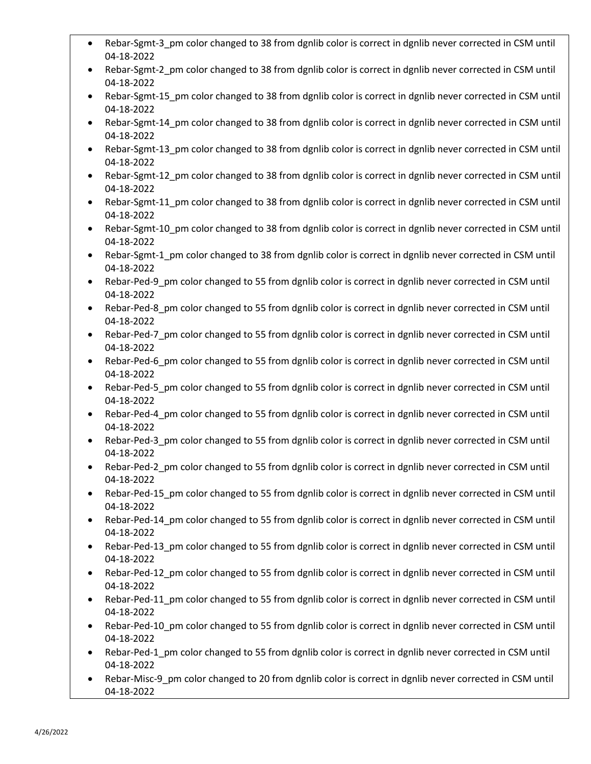- Rebar-Sgmt-3 pm color changed to 38 from dgnlib color is correct in dgnlib never corrected in CSM until 04-18-2022
- Rebar-Sgmt-2 pm color changed to 38 from dgnlib color is correct in dgnlib never corrected in CSM until 04-18-2022
- Rebar-Sgmt-15 pm color changed to 38 from dgnlib color is correct in dgnlib never corrected in CSM until 04-18-2022
- Rebar-Sgmt-14 pm color changed to 38 from dgnlib color is correct in dgnlib never corrected in CSM until 04-18-2022
- Rebar-Sgmt-13 pm color changed to 38 from dgnlib color is correct in dgnlib never corrected in CSM until 04-18-2022
- Rebar-Sgmt-12 pm color changed to 38 from dgnlib color is correct in dgnlib never corrected in CSM until 04-18-2022
- Rebar-Sgmt-11\_pm color changed to 38 from dgnlib color is correct in dgnlib never corrected in CSM until 04-18-2022
- Rebar-Sgmt-10 pm color changed to 38 from dgnlib color is correct in dgnlib never corrected in CSM until 04-18-2022
- Rebar-Sgmt-1 pm color changed to 38 from dgnlib color is correct in dgnlib never corrected in CSM until 04-18-2022
- Rebar-Ped-9\_pm color changed to 55 from dgnlib color is correct in dgnlib never corrected in CSM until 04-18-2022
- Rebar-Ped-8 pm color changed to 55 from dgnlib color is correct in dgnlib never corrected in CSM until 04-18-2022
- Rebar-Ped-7 pm color changed to 55 from dgnlib color is correct in dgnlib never corrected in CSM until 04-18-2022
- Rebar-Ped-6\_pm color changed to 55 from dgnlib color is correct in dgnlib never corrected in CSM until 04-18-2022
- Rebar-Ped-5 pm color changed to 55 from dgnlib color is correct in dgnlib never corrected in CSM until 04-18-2022
- Rebar-Ped-4\_pm color changed to 55 from dgnlib color is correct in dgnlib never corrected in CSM until 04-18-2022
- Rebar-Ped-3 pm color changed to 55 from dgnlib color is correct in dgnlib never corrected in CSM until 04-18-2022
- Rebar-Ped-2\_pm color changed to 55 from dgnlib color is correct in dgnlib never corrected in CSM until 04-18-2022
- Rebar-Ped-15\_pm color changed to 55 from dgnlib color is correct in dgnlib never corrected in CSM until 04-18-2022
- Rebar-Ped-14 pm color changed to 55 from dgnlib color is correct in dgnlib never corrected in CSM until 04-18-2022
- Rebar-Ped-13\_pm color changed to 55 from dgnlib color is correct in dgnlib never corrected in CSM until 04-18-2022
- Rebar-Ped-12\_pm color changed to 55 from dgnlib color is correct in dgnlib never corrected in CSM until 04-18-2022
- Rebar-Ped-11\_pm color changed to 55 from dgnlib color is correct in dgnlib never corrected in CSM until 04-18-2022
- Rebar-Ped-10\_pm color changed to 55 from dgnlib color is correct in dgnlib never corrected in CSM until 04-18-2022
- Rebar-Ped-1 pm color changed to 55 from dgnlib color is correct in dgnlib never corrected in CSM until 04-18-2022
- Rebar-Misc-9\_pm color changed to 20 from dgnlib color is correct in dgnlib never corrected in CSM until 04-18-2022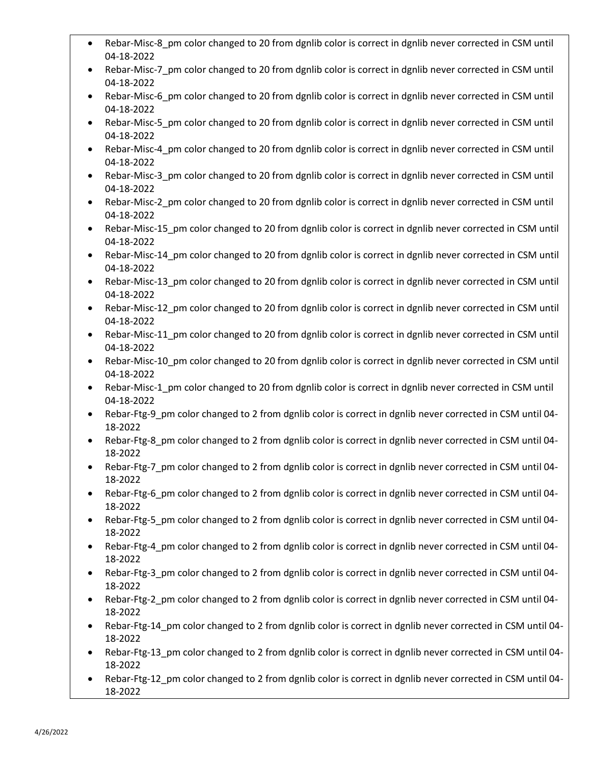- Rebar-Misc-8 pm color changed to 20 from dgnlib color is correct in dgnlib never corrected in CSM until 04-18-2022
- Rebar-Misc-7 pm color changed to 20 from dgnlib color is correct in dgnlib never corrected in CSM until 04-18-2022
- Rebar-Misc-6 pm color changed to 20 from dgnlib color is correct in dgnlib never corrected in CSM until 04-18-2022
- Rebar-Misc-5 pm color changed to 20 from dgnlib color is correct in dgnlib never corrected in CSM until 04-18-2022
- Rebar-Misc-4 pm color changed to 20 from dgnlib color is correct in dgnlib never corrected in CSM until 04-18-2022
- Rebar-Misc-3 pm color changed to 20 from dgnlib color is correct in dgnlib never corrected in CSM until 04-18-2022
- Rebar-Misc-2\_pm color changed to 20 from dgnlib color is correct in dgnlib never corrected in CSM until 04-18-2022
- Rebar-Misc-15 pm color changed to 20 from dgnlib color is correct in dgnlib never corrected in CSM until 04-18-2022
- Rebar-Misc-14 pm color changed to 20 from dgnlib color is correct in dgnlib never corrected in CSM until 04-18-2022
- Rebar-Misc-13\_pm color changed to 20 from dgnlib color is correct in dgnlib never corrected in CSM until 04-18-2022
- Rebar-Misc-12 pm color changed to 20 from dgnlib color is correct in dgnlib never corrected in CSM until 04-18-2022
- Rebar-Misc-11 pm color changed to 20 from dgnlib color is correct in dgnlib never corrected in CSM until 04-18-2022
- Rebar-Misc-10\_pm color changed to 20 from dgnlib color is correct in dgnlib never corrected in CSM until 04-18-2022
- Rebar-Misc-1 pm color changed to 20 from dgnlib color is correct in dgnlib never corrected in CSM until 04-18-2022
- Rebar-Ftg-9\_pm color changed to 2 from dgnlib color is correct in dgnlib never corrected in CSM until 04- 18-2022
- Rebar-Ftg-8 pm color changed to 2 from dgnlib color is correct in dgnlib never corrected in CSM until 04-18-2022
- Rebar-Ftg-7\_pm color changed to 2 from dgnlib color is correct in dgnlib never corrected in CSM until 04- 18-2022
- Rebar-Ftg-6\_pm color changed to 2 from dgnlib color is correct in dgnlib never corrected in CSM until 04- 18-2022
- Rebar-Ftg-5 pm color changed to 2 from dgnlib color is correct in dgnlib never corrected in CSM until 04-18-2022
- Rebar-Ftg-4\_pm color changed to 2 from dgnlib color is correct in dgnlib never corrected in CSM until 04- 18-2022
- Rebar-Ftg-3 pm color changed to 2 from dgnlib color is correct in dgnlib never corrected in CSM until 04-18-2022
- Rebar-Ftg-2\_pm color changed to 2 from dgnlib color is correct in dgnlib never corrected in CSM until 04- 18-2022
- Rebar-Ftg-14 pm color changed to 2 from dgnlib color is correct in dgnlib never corrected in CSM until 04-18-2022
- Rebar-Ftg-13 pm color changed to 2 from dgnlib color is correct in dgnlib never corrected in CSM until 04-18-2022
- Rebar-Ftg-12\_pm color changed to 2 from dgnlib color is correct in dgnlib never corrected in CSM until 04-18-2022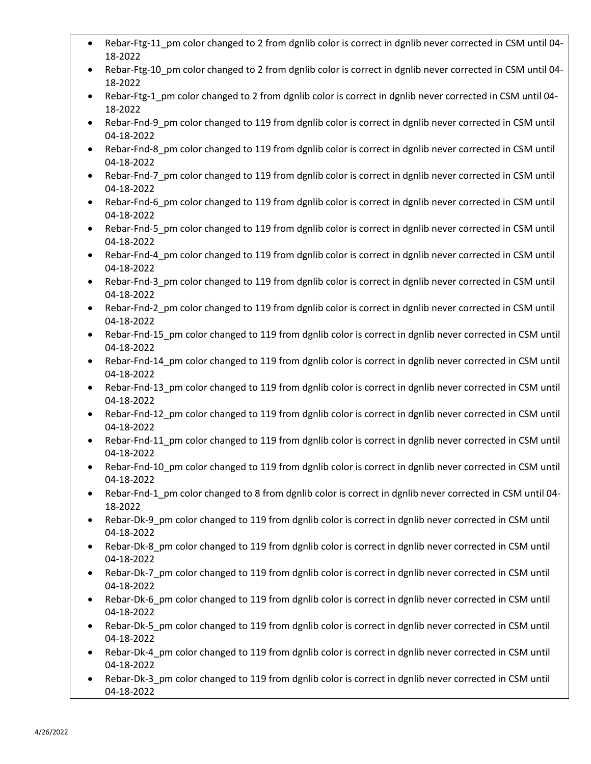- Rebar-Ftg-11 pm color changed to 2 from dgnlib color is correct in dgnlib never corrected in CSM until 04-18-2022
- Rebar-Ftg-10 pm color changed to 2 from dgnlib color is correct in dgnlib never corrected in CSM until 04-18-2022
- Rebar-Ftg-1 pm color changed to 2 from dgnlib color is correct in dgnlib never corrected in CSM until 04-18-2022
- Rebar-Fnd-9 pm color changed to 119 from dgnlib color is correct in dgnlib never corrected in CSM until 04-18-2022
- Rebar-Fnd-8 pm color changed to 119 from dgnlib color is correct in dgnlib never corrected in CSM until 04-18-2022
- Rebar-Fnd-7\_pm color changed to 119 from dgnlib color is correct in dgnlib never corrected in CSM until 04-18-2022
- Rebar-Fnd-6\_pm color changed to 119 from dgnlib color is correct in dgnlib never corrected in CSM until 04-18-2022
- Rebar-Fnd-5 pm color changed to 119 from dgnlib color is correct in dgnlib never corrected in CSM until 04-18-2022
- Rebar-Fnd-4 pm color changed to 119 from dgnlib color is correct in dgnlib never corrected in CSM until 04-18-2022
- Rebar-Fnd-3\_pm color changed to 119 from dgnlib color is correct in dgnlib never corrected in CSM until 04-18-2022
- Rebar-Fnd-2 pm color changed to 119 from dgnlib color is correct in dgnlib never corrected in CSM until 04-18-2022
- Rebar-Fnd-15 pm color changed to 119 from dgnlib color is correct in dgnlib never corrected in CSM until 04-18-2022
- Rebar-Fnd-14\_pm color changed to 119 from dgnlib color is correct in dgnlib never corrected in CSM until 04-18-2022
- Rebar-Fnd-13 pm color changed to 119 from dgnlib color is correct in dgnlib never corrected in CSM until 04-18-2022
- Rebar-Fnd-12\_pm color changed to 119 from dgnlib color is correct in dgnlib never corrected in CSM until 04-18-2022
- Rebar-Fnd-11 pm color changed to 119 from dgnlib color is correct in dgnlib never corrected in CSM until 04-18-2022
- Rebar-Fnd-10\_pm color changed to 119 from dgnlib color is correct in dgnlib never corrected in CSM until 04-18-2022
- Rebar-Fnd-1\_pm color changed to 8 from dgnlib color is correct in dgnlib never corrected in CSM until 04- 18-2022
- Rebar-Dk-9 pm color changed to 119 from dgnlib color is correct in dgnlib never corrected in CSM until 04-18-2022
- Rebar-Dk-8\_pm color changed to 119 from dgnlib color is correct in dgnlib never corrected in CSM until 04-18-2022
- Rebar-Dk-7 pm color changed to 119 from dgnlib color is correct in dgnlib never corrected in CSM until 04-18-2022
- Rebar-Dk-6\_pm color changed to 119 from dgnlib color is correct in dgnlib never corrected in CSM until 04-18-2022
- Rebar-Dk-5 pm color changed to 119 from dgnlib color is correct in dgnlib never corrected in CSM until 04-18-2022
- Rebar-Dk-4 pm color changed to 119 from dgnlib color is correct in dgnlib never corrected in CSM until 04-18-2022
- Rebar-Dk-3\_pm color changed to 119 from dgnlib color is correct in dgnlib never corrected in CSM until 04-18-2022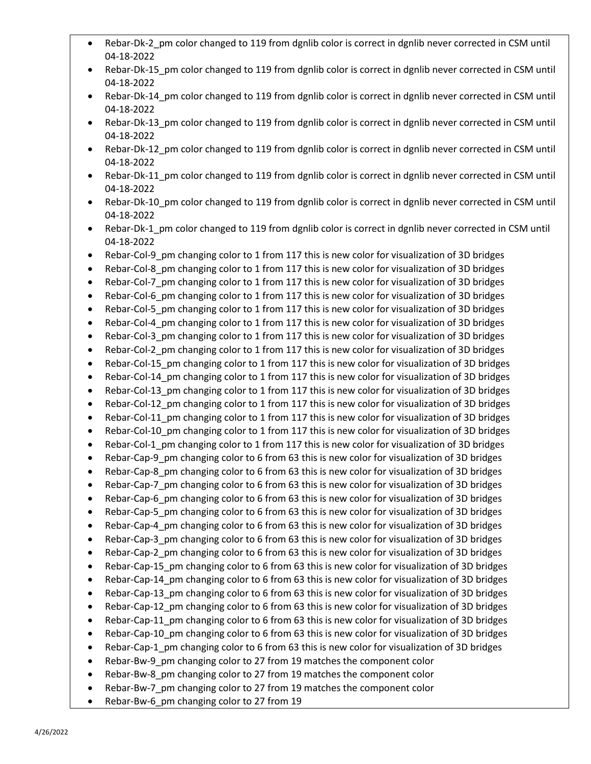- Rebar-Dk-2\_pm color changed to 119 from dgnlib color is correct in dgnlib never corrected in CSM until 04-18-2022
- Rebar-Dk-15 pm color changed to 119 from dgnlib color is correct in dgnlib never corrected in CSM until 04-18-2022
- Rebar-Dk-14 pm color changed to 119 from dgnlib color is correct in dgnlib never corrected in CSM until 04-18-2022
- Rebar-Dk-13 pm color changed to 119 from dgnlib color is correct in dgnlib never corrected in CSM until 04-18-2022
- Rebar-Dk-12 pm color changed to 119 from dgnlib color is correct in dgnlib never corrected in CSM until 04-18-2022
- Rebar-Dk-11 pm color changed to 119 from dgnlib color is correct in dgnlib never corrected in CSM until 04-18-2022
- Rebar-Dk-10\_pm color changed to 119 from dgnlib color is correct in dgnlib never corrected in CSM until 04-18-2022
- Rebar-Dk-1\_pm color changed to 119 from dgnlib color is correct in dgnlib never corrected in CSM until 04-18-2022
- Rebar-Col-9 pm changing color to 1 from 117 this is new color for visualization of 3D bridges
- Rebar-Col-8\_pm changing color to 1 from 117 this is new color for visualization of 3D bridges
- Rebar-Col-7 pm changing color to 1 from 117 this is new color for visualization of 3D bridges
- Rebar-Col-6 pm changing color to 1 from 117 this is new color for visualization of 3D bridges
- Rebar-Col-5 pm changing color to 1 from 117 this is new color for visualization of 3D bridges
- Rebar-Col-4 pm changing color to 1 from 117 this is new color for visualization of 3D bridges
- Rebar-Col-3 pm changing color to 1 from 117 this is new color for visualization of 3D bridges
- Rebar-Col-2 pm changing color to 1 from 117 this is new color for visualization of 3D bridges
- Rebar-Col-15 pm changing color to 1 from 117 this is new color for visualization of 3D bridges
- Rebar-Col-14 pm changing color to 1 from 117 this is new color for visualization of 3D bridges
- Rebar-Col-13\_pm changing color to 1 from 117 this is new color for visualization of 3D bridges
- Rebar-Col-12 pm changing color to 1 from 117 this is new color for visualization of 3D bridges
- Rebar-Col-11 pm changing color to 1 from 117 this is new color for visualization of 3D bridges
- Rebar-Col-10 pm changing color to 1 from 117 this is new color for visualization of 3D bridges
- Rebar-Col-1 pm changing color to 1 from 117 this is new color for visualization of 3D bridges
- Rebar-Cap-9 pm changing color to 6 from 63 this is new color for visualization of 3D bridges
- Rebar-Cap-8 pm changing color to 6 from 63 this is new color for visualization of 3D bridges
- Rebar-Cap-7 pm changing color to 6 from 63 this is new color for visualization of 3D bridges
- Rebar-Cap-6 pm changing color to 6 from 63 this is new color for visualization of 3D bridges
- Rebar-Cap-5 pm changing color to 6 from 63 this is new color for visualization of 3D bridges
- Rebar-Cap-4\_pm changing color to 6 from 63 this is new color for visualization of 3D bridges
- Rebar-Cap-3 pm changing color to 6 from 63 this is new color for visualization of 3D bridges
- Rebar-Cap-2 pm changing color to 6 from 63 this is new color for visualization of 3D bridges
- Rebar-Cap-15 pm changing color to 6 from 63 this is new color for visualization of 3D bridges
- Rebar-Cap-14 pm changing color to 6 from 63 this is new color for visualization of 3D bridges
- Rebar-Cap-13 pm changing color to 6 from 63 this is new color for visualization of 3D bridges
- Rebar-Cap-12 pm changing color to 6 from 63 this is new color for visualization of 3D bridges
- Rebar-Cap-11\_pm changing color to 6 from 63 this is new color for visualization of 3D bridges
- Rebar-Cap-10 pm changing color to 6 from 63 this is new color for visualization of 3D bridges
- Rebar-Cap-1 pm changing color to 6 from 63 this is new color for visualization of 3D bridges
- Rebar-Bw-9 pm changing color to 27 from 19 matches the component color
- Rebar-Bw-8 pm changing color to 27 from 19 matches the component color
- Rebar-Bw-7 pm changing color to 27 from 19 matches the component color
- Rebar-Bw-6 pm changing color to 27 from 19